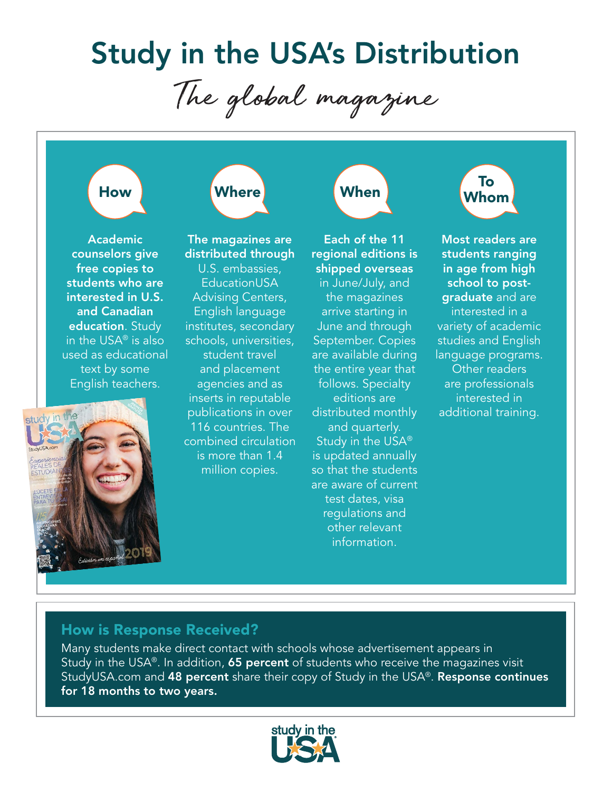# **Study in the USA's Distribution**

The global magazine

# How

**Where** 

The magazines are

 Academic counselors give free copies to students who are interested in U.S. and Canadian education. Study in the USA $<sup>®</sup>$  is also</sup> used as educational text by some English teachers.



distributed through U.S. embassies, EducationUSA Advising Centers, English language institutes, secondary schools, universities, student travel and placement agencies and as inserts in reputable publications in over 116 countries. The combined circulation is more than 1.4 million copies.

Each of the 11 regional editions is shipped overseas in June/July, and the magazines arrive starting in June and through September. Copies are available during the entire year that follows. Specialty editions are distributed monthly and quarterly. Study in the  $USA^{\circledR}$ is updated annually so that the students are aware of current test dates, visa regulations and other relevant .information

When

Most readers are students ranging in age from high graduate and are school to postinterested in a variety of academic studies and English language programs. Other readers are professionals interested in additional training.

 To Whom

# How is Response Received?

Many students make direct contact with schools whose advertisement appears in Study in the USA®. In addition, 65 percent of students who receive the magazines visit StudyUSA.com and 48 percent share their copy of Study in the USA®. Response continues for 18 months to two years.